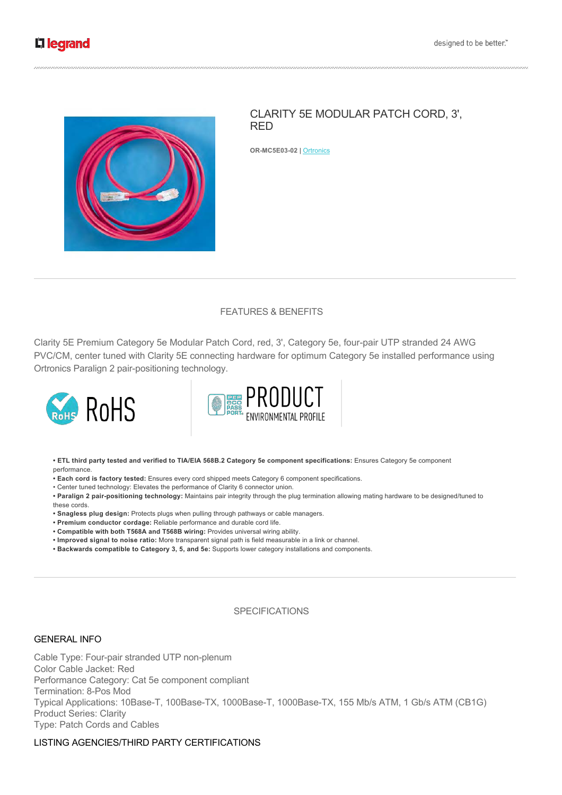

# CLARITY 5E MODULAR PATCH CORD, 3', RED

**OR-MC5E03-02 | Ortronics** 

# FEATURES & BENEFITS

Clarity 5E Premium Category 5e Modular Patch Cord, red, 3', Category 5e, four-pair UTP stranded 24 AWG PVC/CM, center tuned with Clarity 5E connecting hardware for optimum Category 5e installed performance using Ortronics Paralign 2 pair-positioning technology.





**• ETL third party tested and verified to TIA/EIA 568B.2 Category 5e component specifications:** Ensures Category 5e component performance.

- **Each cord is factory tested:** Ensures every cord shipped meets Category 6 component specifications.
- Center tuned technology: Elevates the performance of Clarity 6 connector union.

• Paralign 2 pair-positioning technology: Maintains pair integrity through the plug termination allowing mating hardware to be designed/tuned to these cords.

- **Snagless plug design:** Protects plugs when pulling through pathways or cable managers.
- **Premium conductor cordage:** Reliable performance and durable cord life.
- **Compatible with both T568A and T568B wiring:** Provides universal wiring ability.
- **Improved signal to noise ratio:** More transparent signal path is field measurable in a link or channel.
- **Backwards compatible to Category 3, 5, and 5e:** Supports lower category installations and components.

# SPECIFICATIONS

#### GENERAL INFO

Cable Type: Four-pair stranded UTP non-plenum Color Cable Jacket: Red Performance Category: Cat 5e component compliant Termination: 8-Pos Mod Typical Applications: 10Base-T, 100Base-TX, 1000Base-T, 1000Base-TX, 155 Mb/s ATM, 1 Gb/s ATM (CB1G) Product Series: Clarity Type: Patch Cords and Cables

# LISTING AGENCIES/THIRD PARTY CERTIFICATIONS